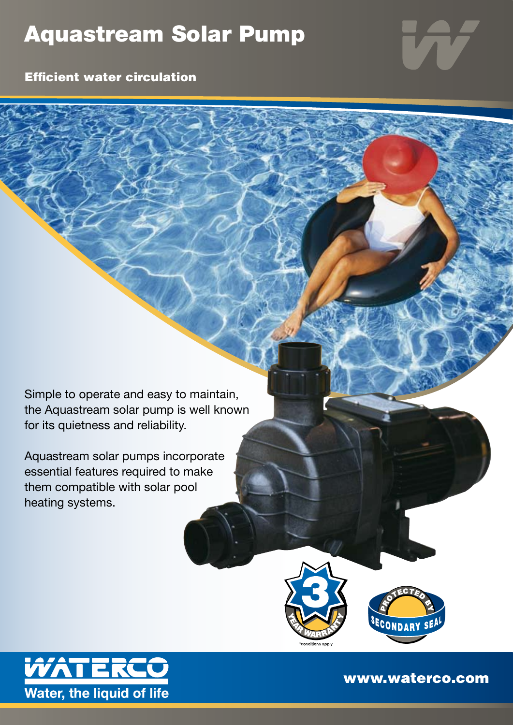## Aquastream Solar Pump

Efficient water circulation

Simple to operate and easy to maintain, the Aquastream solar pump is well known for its quietness and reliability.

Aquastream solar pumps incorporate essential features required to make them compatible with solar pool heating systems.







www.waterco.com